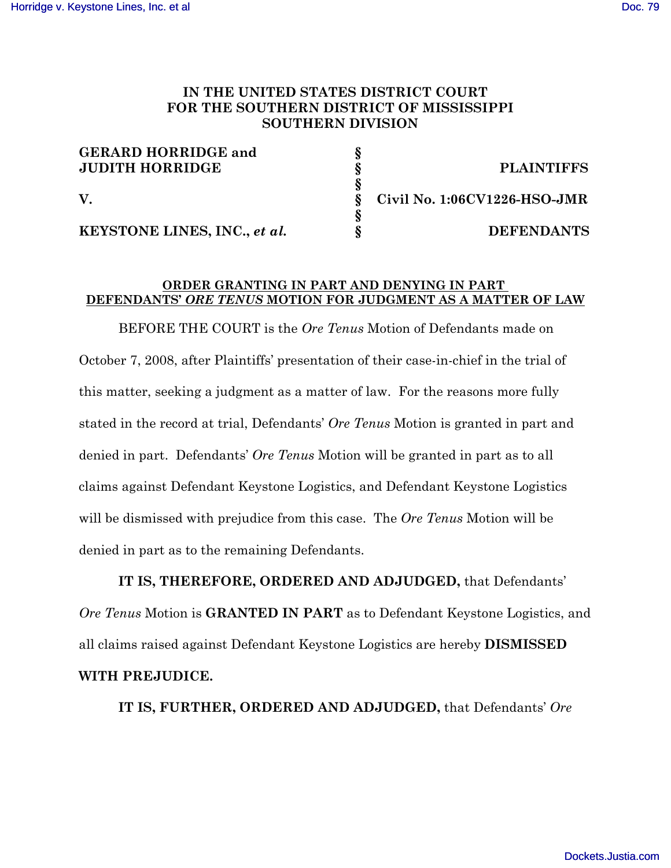## **IN THE UNITED STATES DISTRICT COURT FOR THE SOUTHERN DISTRICT OF MISSISSIPPI SOUTHERN DIVISION**

| <b>GERARD HORRIDGE and</b>   |                              |
|------------------------------|------------------------------|
| <b>JUDITH HORRIDGE</b>       | <b>PLAINTIFFS</b>            |
|                              |                              |
|                              | Civil No. 1:06CV1226-HSO-JMR |
|                              |                              |
| KEYSTONE LINES, INC., et al. | <b>DEFENDANTS</b>            |

## **ORDER GRANTING IN PART AND DENYING IN PART DEFENDANTS'** *ORE TENUS* **MOTION FOR JUDGMENT AS A MATTER OF LAW**

BEFORE THE COURT is the *Ore Tenus* Motion of Defendants made on October 7, 2008, after Plaintiffs' presentation of their case-in-chief in the trial of this matter, seeking a judgment as a matter of law. For the reasons more fully stated in the record at trial, Defendants' *Ore Tenus* Motion is granted in part and denied in part. Defendants' *Ore Tenus* Motion will be granted in part as to all claims against Defendant Keystone Logistics, and Defendant Keystone Logistics will be dismissed with prejudice from this case. The *Ore Tenus* Motion will be denied in part as to the remaining Defendants.

**IT IS, THEREFORE, ORDERED AND ADJUDGED,** that Defendants' *Ore Tenus* Motion is **GRANTED IN PART** as to Defendant Keystone Logistics, and all claims raised against Defendant Keystone Logistics are hereby **DISMISSED WITH PREJUDICE.**

**IT IS, FURTHER, ORDERED AND ADJUDGED,** that Defendants' *Ore*